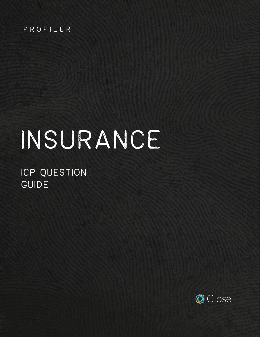#### PROFILER

# Insurance

ICP QUESTION GUIDE

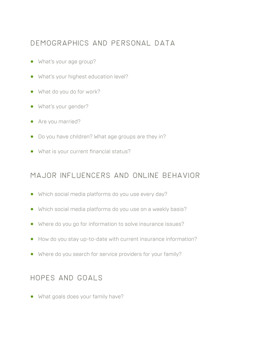#### Demographics and personal data

- **•** What's your age group?
- **•** What's your highest education level?
- **•** What do you do for work?
- **•** What's your gender?
- **•** Are you married?
- **•** Do you have children? What age groups are they in?
- **•** What is your current financial status?

## Major influencers and online behavior

- **•** Which social media platforms do you use every day?
- **•** Which social media platforms do you use on a weekly basis?
- **•** Where do you go for information to solve insurance issues?
- **•** How do you stay up-to-date with current insurance information?
- **•** Where do you search for service providers for your family?

## Hopes and goals

**•** What goals does your family have?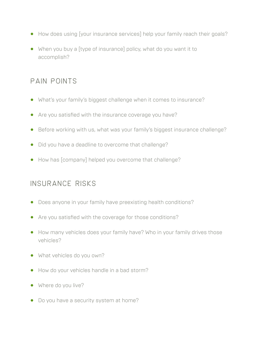- **•** How does using [your insurance services] help your family reach their goals?
- **•** When you buy a [type of insurance] policy, what do you want it to accomplish?

#### pain points

- **•** What's your family's biggest challenge when it comes to insurance?
- **•** Are you satisfied with the insurance coverage you have?
- **•** Before working with us, what was your family's biggest insurance challenge?
- **•** Did you have a deadline to overcome that challenge?
- **•** How has [company] helped you overcome that challenge?

## Insurance risks

- **•** Does anyone in your family have preexisting health conditions?
- **•** Are you satisfied with the coverage for those conditions?
- **•** How many vehicles does your family have? Who in your family drives those vehicles?
- **•** What vehicles do you own?
- **•** How do your vehicles handle in a bad storm?
- **•** Where do you live?
- **•** Do you have a security system at home?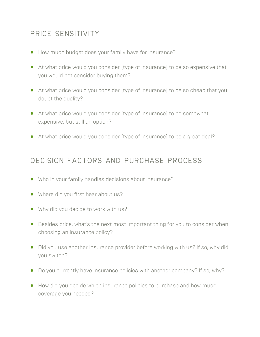# Price sensitivity

- **•** How much budget does your family have for insurance?
- **•** At what price would you consider [type of insurance] to be so expensive that you would not consider buying them?
- **•** At what price would you consider [type of insurance] to be so cheap that you doubt the quality?
- **•** At what price would you consider [type of insurance] to be somewhat expensive, but still an option?
- **•** At what price would you consider [type of insurance] to be a great deal?

#### Decision factors and purchase process

- **•** Who in your family handles decisions about insurance?
- **•** Where did you first hear about us?
- **•** Why did you decide to work with us?
- **•** Besides price, what's the next most important thing for you to consider when choosing an insurance policy?
- **•** Did you use another insurance provider before working with us? If so, why did you switch?
- **•** Do you currently have insurance policies with another company? If so, why?
- **•** How did you decide which insurance policies to purchase and how much coverage you needed?